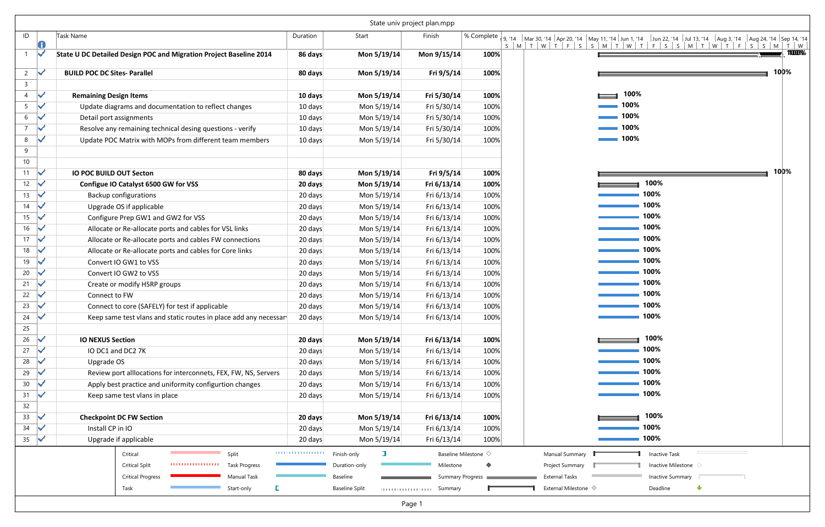|                |                      |                                                                     | State univ project plan.mpp |                       |                         |                                   |  |                                   |  |  |
|----------------|----------------------|---------------------------------------------------------------------|-----------------------------|-----------------------|-------------------------|-----------------------------------|--|-----------------------------------|--|--|
| ID             | 0                    | <b>Task Name</b>                                                    | Duration                    | Start                 | Finish                  |                                   |  |                                   |  |  |
|                | V                    | State U DC Detailed Design POC and Migration Project Baseline 2014  | 86 days                     | Mon 5/19/14           | Mon 9/15/14             | 100%                              |  |                                   |  |  |
| 2              | ✓                    | <b>BUILD POC DC Sites- Parallel</b>                                 | 80 days                     | Mon 5/19/14           | Fri 9/5/14              | 100%                              |  |                                   |  |  |
| 3              |                      |                                                                     |                             |                       |                         |                                   |  |                                   |  |  |
| 4              | V                    | <b>Remaining Design Items</b>                                       | 10 days                     | Mon 5/19/14           | Fri 5/30/14             | 100%                              |  |                                   |  |  |
| 5              | ✓                    | Update diagrams and documentation to reflect changes                | 10 days                     | Mon 5/19/14           | Fri 5/30/14             | 100%                              |  |                                   |  |  |
| 6              | $\blacktriangledown$ | Detail port assignments                                             | 10 days                     | Mon 5/19/14           | Fri 5/30/14             | 100%                              |  |                                   |  |  |
| $\overline{7}$ |                      | Resolve any remaining technical desing questions - verify           | 10 days                     | Mon 5/19/14           | Fri 5/30/14             | 100%                              |  |                                   |  |  |
| 8<br>9         | ✓                    | Update POC Matrix with MOPs from different team members             | 10 days                     | Mon 5/19/14           | Fri 5/30/14             | 100%                              |  |                                   |  |  |
| 10<br>11       | V                    | <b>IO POC BUILD OUT Secton</b>                                      | 80 days                     | Mon 5/19/14           | Fri 9/5/14              | 100%                              |  |                                   |  |  |
| 12             | $\blacktriangledown$ | Configue IO Catalyst 6500 GW for VSS                                | 20 days                     | Mon 5/19/14           | Fri 6/13/14             | 100%                              |  |                                   |  |  |
| 13             |                      | <b>Backup configurations</b>                                        | 20 days                     | Mon 5/19/14           | Fri 6/13/14             | 100%                              |  |                                   |  |  |
| 14             | ✓                    | Upgrade OS if applicable                                            | 20 days                     | Mon 5/19/14           | Fri 6/13/14             | 100%                              |  |                                   |  |  |
| 15             | V                    | Configure Prep GW1 and GW2 for VSS                                  | 20 days                     | Mon 5/19/14           | Fri 6/13/14             | 100%                              |  |                                   |  |  |
| 16             |                      | Allocate or Re-allocate ports and cables for VSL links              | 20 days                     | Mon 5/19/14           | Fri 6/13/14             | 100%                              |  |                                   |  |  |
| 17             | $\mathbf{v}$         | Allocate or Re-allocate ports and cables FW connections             | 20 days                     | Mon 5/19/14           | Fri 6/13/14             | 100%                              |  |                                   |  |  |
| 18             | ✓                    | Allocate or Re-allocate ports and cables for Core links             | 20 days                     | Mon 5/19/14           | Fri 6/13/14             | 100%                              |  |                                   |  |  |
| 19             | ✓                    | Convert IO GW1 to VSS                                               | 20 days                     | Mon 5/19/14           | Fri 6/13/14             | 100%                              |  |                                   |  |  |
| 20             |                      | Convert IO GW2 to VSS                                               | 20 days                     | Mon 5/19/14           | Fri 6/13/14             | 100%                              |  |                                   |  |  |
| 21             | ✓                    | Create or modify HSRP groups                                        | 20 days                     | Mon 5/19/14           | Fri 6/13/14             | 100%                              |  |                                   |  |  |
| 22             |                      | Connect to FW                                                       | 20 days                     | Mon 5/19/14           | Fri 6/13/14             | 100%                              |  |                                   |  |  |
| 23             |                      | Connect to core (SAFELY) for test if applicable                     | 20 days                     | Mon 5/19/14           | Fri 6/13/14             | 100%                              |  |                                   |  |  |
| 24             | V                    | Keep same test vlans and static routes in place add any necessar    | 20 days                     | Mon 5/19/14           | Fri 6/13/14             | 100%                              |  |                                   |  |  |
| 25<br>26       | ✔                    | <b>IO NEXUS Section</b>                                             | 20 days                     | Mon 5/19/14           | Fri 6/13/14             | 100%                              |  |                                   |  |  |
| 27             | ✓                    | IO DC1 and DC2 7K                                                   | 20 days                     | Mon 5/19/14           | Fri 6/13/14             | 100%                              |  |                                   |  |  |
| 28             | ✓                    | Upgrade OS                                                          | 20 days                     | Mon 5/19/14           | Fri 6/13/14<br>100%     |                                   |  |                                   |  |  |
| 29             |                      | Review port alllocations for interconnets, FEX, FW, NS, Servers     | 20 days                     | Mon 5/19/14           | Fri 6/13/14             | 100%                              |  |                                   |  |  |
| 30             | ✓                    | Apply best practice and uniformity configurtion changes             | 20 days                     | Mon 5/19/14           | Fri 6/13/14             | 100%                              |  |                                   |  |  |
| 31             | ✓                    | Keep same test vlans in place                                       | 20 days                     | Mon 5/19/14           | Fri 6/13/14             | 100%                              |  |                                   |  |  |
| 32             |                      |                                                                     |                             |                       |                         |                                   |  |                                   |  |  |
| 33             | ✓                    | <b>Checkpoint DC FW Section</b>                                     | 20 days                     | Mon 5/19/14           | Fri 6/13/14             | 100%                              |  |                                   |  |  |
| 34             | ✓                    | Install CP in IO                                                    | 20 days                     | Mon 5/19/14           | Fri 6/13/14             | 100%                              |  |                                   |  |  |
| 35             | ✓                    | Upgrade if applicable                                               | 20 days                     | Mon 5/19/14           | Fri 6/13/14             | 100%                              |  |                                   |  |  |
|                |                      | Split<br>Critical                                                   | ,,,,,,,,,,,,,,,,,,          | $\Box$<br>Finish-only |                         | Baseline Milestone $\diamondsuit$ |  | Manual Summary                    |  |  |
|                |                      | ,,,,,,,,,,,,,,,,,,<br><b>Critical Split</b><br><b>Task Progress</b> |                             | Duration-only         | Milestone               |                                   |  | Project Summary                   |  |  |
|                |                      | <b>Critical Progress</b><br>Manual Task                             |                             | Baseline              | <b>Summary Progress</b> |                                   |  | <b>External Tasks</b>             |  |  |
|                |                      | E<br>Start-only<br>Task                                             |                             | <b>Baseline Split</b> | Summary                 |                                   |  | External Milestone $\diamondsuit$ |  |  |
|                |                      |                                                                     |                             |                       | Page 1                  |                                   |  |                                   |  |  |

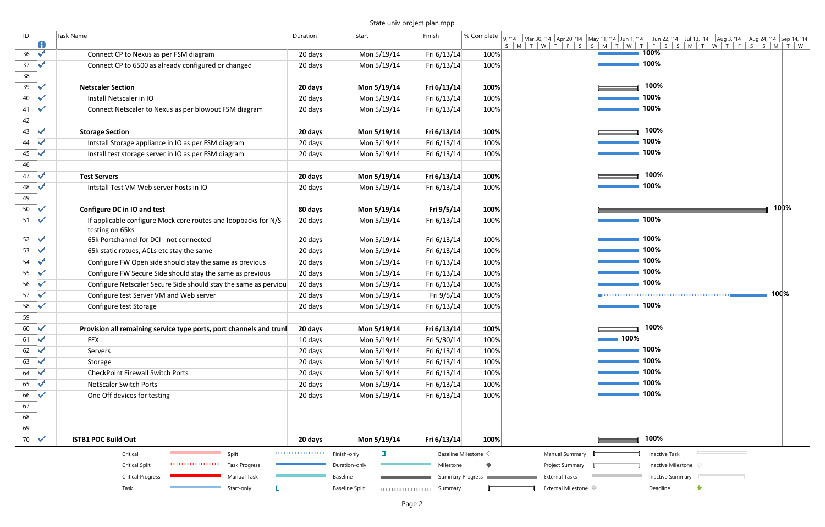|          |     |                                                                                   |                            | State univ project plan.mpp |                 |                               |                               |                                                                                                                                                                                                                               |
|----------|-----|-----------------------------------------------------------------------------------|----------------------------|-----------------------------|-----------------|-------------------------------|-------------------------------|-------------------------------------------------------------------------------------------------------------------------------------------------------------------------------------------------------------------------------|
| ID       |     | Task Name                                                                         | Duration                   | Start                       | Finish          |                               |                               | % Complete 9, '14   Mar 30, '14   Apr 20, '14   May 11, '14   Jun 1, '14   Jun 22, '14   Jul 13, '14   Aug 3, '14   Aug 24, '14   Sep 14, '14   Sep 14, '14   Sep 14, '14   Sep 14, '14   Sep 14, '14   Sep 14, '14   Sep 14, |
| 36       |     | Connect CP to Nexus as per FSM diagram                                            | 20 days                    | Mon 5/19/14                 | Fri 6/13/14     | 100%                          |                               | $-100\%$                                                                                                                                                                                                                      |
| 37<br>38 |     | Connect CP to 6500 as already configured or changed                               | 20 days                    | Mon 5/19/14                 | Fri 6/13/14     | 100%                          |                               | ■ 100%                                                                                                                                                                                                                        |
| 39       |     | <b>Netscaler Section</b>                                                          | 20 days                    | Mon 5/19/14                 | Fri 6/13/14     | 100%                          |                               | 100%                                                                                                                                                                                                                          |
| 40       |     | Install Netscaler in IO                                                           | 20 days                    | Mon 5/19/14                 | Fri 6/13/14     | 100%                          |                               | 100%                                                                                                                                                                                                                          |
| 41       | M   | Connect Netscaler to Nexus as per blowout FSM diagram                             | 20 days                    | Mon 5/19/14                 | Fri 6/13/14     | 100%                          |                               | 100%                                                                                                                                                                                                                          |
| 42       |     |                                                                                   |                            |                             |                 |                               |                               |                                                                                                                                                                                                                               |
| 43       |     | <b>Storage Section</b>                                                            | 20 days                    | Mon 5/19/14                 | Fri 6/13/14     | 100%                          |                               | 100%                                                                                                                                                                                                                          |
| 44       | N   | Intstall Storage appliance in IO as per FSM diagram                               | 20 days                    | Mon 5/19/14                 | Fri 6/13/14     | 100%                          |                               | 100%                                                                                                                                                                                                                          |
| 45       |     | Install test storage server in IO as per FSM diagram                              | 20 days                    | Mon 5/19/14                 | Fri 6/13/14     | 100%                          |                               | 100%                                                                                                                                                                                                                          |
| 46       |     |                                                                                   |                            |                             |                 |                               |                               |                                                                                                                                                                                                                               |
| 47       | M   | <b>Test Servers</b>                                                               | 20 days                    | Mon 5/19/14                 | Fri 6/13/14     | 100%                          |                               | 100%                                                                                                                                                                                                                          |
| 48       |     | Intstall Test VM Web server hosts in IO                                           | 20 days                    | Mon 5/19/14                 | Fri 6/13/14     | 100%                          |                               | 100%                                                                                                                                                                                                                          |
| 49       |     |                                                                                   |                            |                             |                 |                               |                               |                                                                                                                                                                                                                               |
| 50       |     | Configure DC in IO and test                                                       | 80 days                    | Mon 5/19/14                 | Fri 9/5/14      | 100%                          |                               | 100%                                                                                                                                                                                                                          |
| 51       | ₩   | If applicable configure Mock core routes and loopbacks for N/S<br>testing on 65ks | 20 days                    | Mon 5/19/14                 | Fri 6/13/14     | 100%                          |                               | $-100%$                                                                                                                                                                                                                       |
| 52       | le. | 65k Portchannel for DCI - not connected                                           | 20 days                    | Mon 5/19/14                 | Fri 6/13/14     | 100%                          |                               | ■ 100%                                                                                                                                                                                                                        |
| 53       | N   | 65k static rotues, ACLs etc stay the same                                         | 20 days                    | Mon 5/19/14                 | Fri 6/13/14     | 100%                          |                               | ■ 100%                                                                                                                                                                                                                        |
| 54       |     | Configure FW Open side should stay the same as previous                           | 20 days                    | Mon 5/19/14                 | Fri 6/13/14     | 100%                          |                               | 100%                                                                                                                                                                                                                          |
| 55       |     | Configure FW Secure Side should stay the same as previous                         | 20 days                    | Mon 5/19/14                 | Fri 6/13/14     | 100%                          |                               | 100%                                                                                                                                                                                                                          |
| 56       | led | Configure Netscaler Secure Side should stay the same as perviou                   | 20 days                    | Mon 5/19/14                 | Fri 6/13/14     | 100%                          |                               | ■ 100%                                                                                                                                                                                                                        |
| 57       |     | Configure test Server VM and Web server                                           | 20 days                    | Mon 5/19/14                 | Fri 9/5/14      | 100%                          |                               | 100%                                                                                                                                                                                                                          |
| 58       |     | Configure test Storage                                                            | 20 days                    | Mon 5/19/14                 | Fri 6/13/14     | 100%                          |                               | 100%                                                                                                                                                                                                                          |
| 59       |     |                                                                                   |                            |                             |                 |                               |                               |                                                                                                                                                                                                                               |
| 60       | lv  | Provision all remaining service type ports, port channels and trunl               | 20 days                    | Mon 5/19/14                 | Fri 6/13/14     | 100%                          |                               | 100%                                                                                                                                                                                                                          |
| 61       | N   | <b>FEX</b>                                                                        | 10 days                    | Mon 5/19/14                 | Fri 5/30/14     | 100%                          | 100%                          |                                                                                                                                                                                                                               |
| 62       | N   | Servers                                                                           | 20 days                    | Mon 5/19/14                 | Fri 6/13/14     | 100%                          |                               | 100%<br>100%                                                                                                                                                                                                                  |
| 63       | N   | Storage                                                                           | 20 days                    | Mon 5/19/14                 | Fri 6/13/14     | 100%                          |                               | 100%                                                                                                                                                                                                                          |
| 64       | N   | <b>CheckPoint Firewall Switch Ports</b>                                           | 20 days                    | Mon 5/19/14                 | Fri 6/13/14     | 100%                          |                               | 100%                                                                                                                                                                                                                          |
| 65       | M   | <b>NetScaler Switch Ports</b>                                                     | 20 days                    | Mon 5/19/14                 | Fri 6/13/14     | 100%                          |                               | ■ 100%                                                                                                                                                                                                                        |
| 66<br>67 |     | One Off devices for testing                                                       | 20 days                    | Mon 5/19/14                 | Fri 6/13/14     | 100%                          |                               |                                                                                                                                                                                                                               |
| 68       |     |                                                                                   |                            |                             |                 |                               |                               |                                                                                                                                                                                                                               |
| 69       |     |                                                                                   |                            |                             |                 |                               |                               |                                                                                                                                                                                                                               |
| 70       | √   | <b>ISTB1 POC Build Out</b>                                                        | 20 days                    | Mon 5/19/14                 | Fri 6/13/14     | 100%                          |                               | 100%                                                                                                                                                                                                                          |
|          |     | Split<br>Critical                                                                 | <b>TELEVISION IN THE R</b> | <b>E</b><br>Finish-only     |                 | Baseline Milestone $\Diamond$ | Manual Summary                | Inactive Task                                                                                                                                                                                                                 |
|          |     | Task Progress<br><b>Critical Split</b>                                            |                            | Duration-only               | Milestone       |                               | Project Summary               | Inactive Milestone                                                                                                                                                                                                            |
|          |     | <b>Critical Progress</b><br><b>Manual Task</b>                                    |                            | Baseline                    |                 | Summary Progress              | <b>External Tasks</b>         | Inactive Summary                                                                                                                                                                                                              |
|          |     | Start-only<br>Task                                                                |                            | <b>Baseline Split</b>       | sunning summary |                               | External Milestone $\Diamond$ | Deadline<br>$\bigcup$                                                                                                                                                                                                         |
|          |     |                                                                                   |                            | Page 2                      |                 |                               |                               |                                                                                                                                                                                                                               |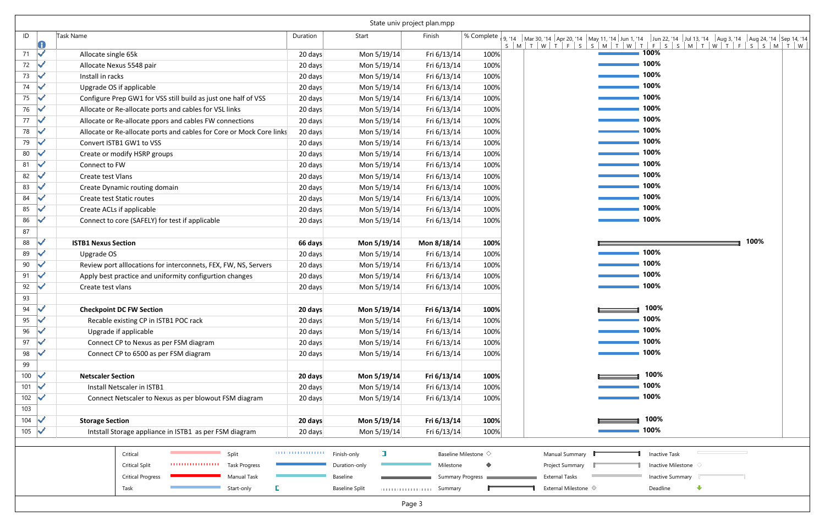|          |   |                                                                      |                               |                       | State univ project plan.mpp |                               |                                                                                                                                                                         |  |
|----------|---|----------------------------------------------------------------------|-------------------------------|-----------------------|-----------------------------|-------------------------------|-------------------------------------------------------------------------------------------------------------------------------------------------------------------------|--|
| ID       | U | Task Name                                                            | Duration                      | Start                 | Finish                      |                               | % Complete   9, 14   Mar 30, 14   Apr 20, 14   May 11, 14   Jun 1, 14   Jun 22, 14   Jul 13, 14   Aug 3, 14   Aug 24, 14   Sep 14, 14  <br>SMTWTFSSMTWTFSSMTWTFVTFSSMTW |  |
| 71       | V | Allocate single 65k                                                  | 20 days                       | Mon 5/19/14           | Fri 6/13/14                 | 100%                          | $100\%$                                                                                                                                                                 |  |
| 72       |   | Allocate Nexus 5548 pair                                             | 20 days                       | Mon 5/19/14           | Fri 6/13/14                 | 100%                          | $-100\%$                                                                                                                                                                |  |
| 73       |   | Install in racks                                                     | 20 days                       | Mon 5/19/14           | Fri 6/13/14                 | 100%                          | $\blacksquare$ 100%                                                                                                                                                     |  |
| 74       |   | Upgrade OS if applicable                                             | 20 days                       | Mon 5/19/14           | Fri 6/13/14                 | 100%                          | $-100%$                                                                                                                                                                 |  |
| 75       |   | Configure Prep GW1 for VSS still build as just one half of VSS       | 20 days                       | Mon 5/19/14           | Fri 6/13/14                 | 100%                          | $\sim$ 100%                                                                                                                                                             |  |
| 76       |   | Allocate or Re-allocate ports and cables for VSL links               | 20 days                       | Mon 5/19/14           | Fri 6/13/14                 | 100%                          | $\sim$ 100%                                                                                                                                                             |  |
| 77       |   | Allocate or Re-allocate ppors and cables FW connections              | 20 days                       | Mon 5/19/14           | Fri 6/13/14                 | 100%                          | $\sim$ 100%                                                                                                                                                             |  |
| 78       |   | Allocate or Re-allocate ports and cables for Core or Mock Core links | 20 days                       | Mon 5/19/14           | Fri 6/13/14                 | 100%                          | $\sim$ 100%                                                                                                                                                             |  |
| 79       |   | Convert ISTB1 GW1 to VSS                                             | 20 days                       | Mon 5/19/14           | Fri 6/13/14                 | 100%                          | $\sim$ 100%                                                                                                                                                             |  |
| 80       |   | Create or modify HSRP groups                                         | 20 days                       | Mon 5/19/14           | Fri 6/13/14                 | 100%                          | $\blacksquare$ 100%                                                                                                                                                     |  |
| 81       |   | Connect to FW                                                        | 20 days                       | Mon 5/19/14           | Fri 6/13/14                 | 100%                          | $\sim$ 100%                                                                                                                                                             |  |
| 82       |   | Create test Vlans                                                    | 20 days                       | Mon 5/19/14           | Fri 6/13/14                 | 100%                          | 100%                                                                                                                                                                    |  |
| 83       |   | Create Dynamic routing domain                                        | 20 days                       | Mon 5/19/14           | Fri 6/13/14                 | 100%                          | $\blacksquare$ 100%                                                                                                                                                     |  |
| 84       |   | <b>Create test Static routes</b>                                     | 20 days                       | Mon 5/19/14           | Fri 6/13/14                 | 100%                          | $\sim$ 100%                                                                                                                                                             |  |
| 85       |   | Create ACLs if applicable                                            | 20 days                       | Mon 5/19/14           | Fri 6/13/14                 | 100%                          | 100%                                                                                                                                                                    |  |
| 86       |   | Connect to core (SAFELY) for test if applicable                      | 20 days                       | Mon 5/19/14           | Fri 6/13/14                 | 100%                          | $\blacksquare$ 100%                                                                                                                                                     |  |
| 87       |   |                                                                      |                               |                       |                             |                               |                                                                                                                                                                         |  |
| 88       |   | <b>ISTB1 Nexus Section</b>                                           | 66 days                       | Mon 5/19/14           | Mon 8/18/14                 | 100%                          | 100%                                                                                                                                                                    |  |
| 89       |   | Upgrade OS                                                           | 20 days                       | Mon 5/19/14           | Fri 6/13/14                 | 100%                          | $-100%$                                                                                                                                                                 |  |
| 90       |   | Review port alllocations for interconnets, FEX, FW, NS, Servers      | 20 days                       | Mon 5/19/14           | Fri 6/13/14                 | 100%                          | $\blacksquare$ 100%                                                                                                                                                     |  |
| 91       |   | Apply best practice and uniformity configurtion changes              | 20 days                       | Mon 5/19/14           | Fri 6/13/14                 | 100%                          | 100%                                                                                                                                                                    |  |
| 92<br>93 |   | Create test vlans                                                    | 20 days                       | Mon 5/19/14           | Fri 6/13/14                 | 100%                          | 100%                                                                                                                                                                    |  |
| 94       |   | <b>Checkpoint DC FW Section</b>                                      | 20 days                       | Mon 5/19/14           | Fri 6/13/14                 | 100%                          | 100%                                                                                                                                                                    |  |
| 95       |   | Recable existing CP in ISTB1 POC rack                                | 20 days                       | Mon 5/19/14           | Fri 6/13/14                 | 100%                          | 100%                                                                                                                                                                    |  |
| 96       |   | Upgrade if applicable                                                | 20 days                       | Mon 5/19/14           | Fri 6/13/14                 | 100%                          | 100%                                                                                                                                                                    |  |
| 97       |   | Connect CP to Nexus as per FSM diagram                               | 20 days                       | Mon 5/19/14           | Fri 6/13/14                 | 100%                          | 100%                                                                                                                                                                    |  |
| 98       |   | Connect CP to 6500 as per FSM diagram                                | 20 days                       | Mon 5/19/14           | Fri 6/13/14                 | 100%                          | 100%                                                                                                                                                                    |  |
| 99       |   |                                                                      |                               |                       |                             |                               |                                                                                                                                                                         |  |
| 100      |   | <b>Netscaler Section</b>                                             | 20 days                       | Mon 5/19/14           | Fri 6/13/14                 | 100%                          | 100%                                                                                                                                                                    |  |
| 101      |   | Install Netscaler in ISTB1                                           | 20 days                       | Mon 5/19/14           | Fri 6/13/14                 | 100%                          | 100%                                                                                                                                                                    |  |
| 102      |   | Connect Netscaler to Nexus as per blowout FSM diagram                | 20 days                       | Mon 5/19/14           | Fri 6/13/14                 | 100%                          | 100%                                                                                                                                                                    |  |
| 103      |   |                                                                      |                               |                       |                             |                               |                                                                                                                                                                         |  |
| 104      |   | <b>Storage Section</b>                                               | 20 days                       | Mon 5/19/14           | Fri 6/13/14                 | 100%                          | 100%                                                                                                                                                                    |  |
| 105      | ₩ | Intstall Storage appliance in ISTB1 as per FSM diagram               | 20 days                       | Mon 5/19/14           | Fri 6/13/14                 | 100%                          | 100%                                                                                                                                                                    |  |
|          |   | Critical<br>Split                                                    | <b>TELEVISION IN THE REAL</b> | ⊐<br>Finish-only      |                             | Baseline Milestone $\Diamond$ | <b>Manual Summary</b><br>Inactive Task                                                                                                                                  |  |
|          |   | <b>THEFTH HEIGHT</b><br><b>Critical Split</b><br>Task Progress       |                               | Duration-only         | Milestone                   |                               | Inactive Milestone<br>Project Summary                                                                                                                                   |  |
|          |   | <b>Critical Progress</b><br>Manual Task                              |                               | Baseline              | <b>Summary Progress</b>     |                               | <b>External Tasks</b><br>Inactive Summary                                                                                                                               |  |
|          |   | Task<br>Start-only                                                   |                               | <b>Baseline Split</b> | sunning summary             |                               | $\bigoplus$<br>External Milestone $\Diamond$<br>Deadline                                                                                                                |  |
|          |   |                                                                      |                               |                       | Page 3                      |                               |                                                                                                                                                                         |  |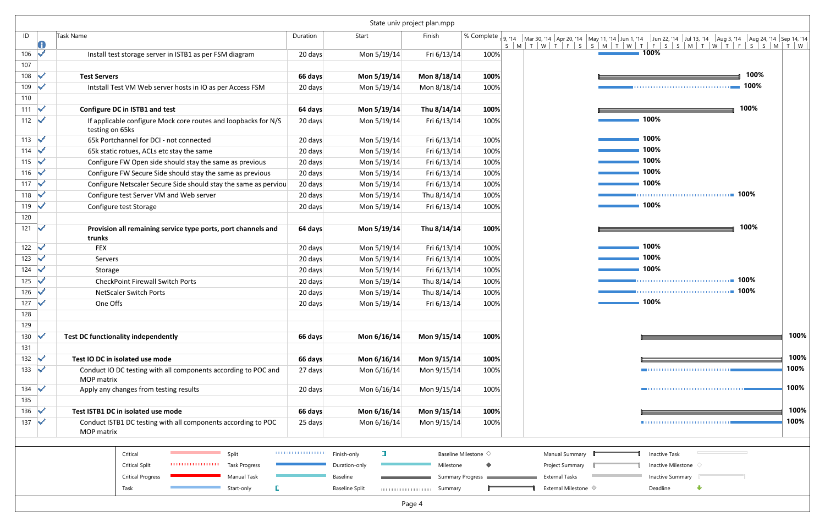|            |   |                                                                                   |                    |                       | State univ project plan.mpp      |                                   |                                                                                                                 |
|------------|---|-----------------------------------------------------------------------------------|--------------------|-----------------------|----------------------------------|-----------------------------------|-----------------------------------------------------------------------------------------------------------------|
| ID         | 0 | Task Name                                                                         | Duration           | Start                 | Finish                           |                                   | % Complete   9, 14   Mar 30, 14   Apr 20, 14   May 11, 14  <br>$S$ $M$ $T$ $W$ $T$<br>$-F$<br>S<br>S<br>$M$ $T$ |
| 106        | ✓ | Install test storage server in ISTB1 as per FSM diagram                           | 20 days            | Mon 5/19/14           | Fri 6/13/14                      | 100%                              |                                                                                                                 |
| 107        |   |                                                                                   |                    |                       |                                  |                                   |                                                                                                                 |
| 108        | ✓ | <b>Test Servers</b>                                                               | 66 days            | Mon 5/19/14           | Mon 8/18/14                      | 100%                              |                                                                                                                 |
| 109        | ✓ | Intstall Test VM Web server hosts in IO as per Access FSM                         | 20 days            | Mon 5/19/14           | Mon 8/18/14                      | 100%                              |                                                                                                                 |
| 110        |   |                                                                                   |                    |                       |                                  |                                   |                                                                                                                 |
| 111        | ✓ | Configure DC in ISTB1 and test                                                    | 64 days            | Mon 5/19/14           | Thu 8/14/14                      | 100%                              |                                                                                                                 |
| 112        | ✓ | If applicable configure Mock core routes and loopbacks for N/S<br>testing on 65ks | 20 days            | Mon 5/19/14           | Fri 6/13/14                      | 100%                              |                                                                                                                 |
| 113        | ✓ | 65k Portchannel for DCI - not connected                                           | 20 days            | Mon 5/19/14           | Fri 6/13/14                      | 100%                              |                                                                                                                 |
| 114        |   | 65k static rotues, ACLs etc stay the same                                         | 20 days            | Mon 5/19/14           | Fri 6/13/14                      | 100%                              |                                                                                                                 |
| 115        | ✓ | Configure FW Open side should stay the same as previous                           | 20 days            | Mon 5/19/14           | Fri 6/13/14                      | 100%                              |                                                                                                                 |
| 116        | ✓ | Configure FW Secure Side should stay the same as previous                         | 20 days            | Mon 5/19/14           | Fri 6/13/14                      | 100%                              |                                                                                                                 |
| 117        | ✓ | Configure Netscaler Secure Side should stay the same as perviou                   | 20 days            | Mon 5/19/14           | Fri 6/13/14                      | 100%                              |                                                                                                                 |
| 118        | ✓ | Configure test Server VM and Web server                                           | 20 days            | Mon 5/19/14           | Thu 8/14/14                      | 100%                              |                                                                                                                 |
| 119        | ✓ | Configure test Storage                                                            | 20 days            | Mon 5/19/14           | Fri 6/13/14                      | 100%                              |                                                                                                                 |
| 120        |   |                                                                                   |                    |                       |                                  |                                   |                                                                                                                 |
| 121        | V | Provision all remaining service type ports, port channels and<br>trunks           | 64 days            | Mon 5/19/14           | Thu 8/14/14                      | 100%                              |                                                                                                                 |
| 122        | ✓ | <b>FEX</b>                                                                        | 20 days            | Mon 5/19/14           | Fri 6/13/14                      | 100%                              |                                                                                                                 |
| 123        | ✓ | Servers                                                                           | 20 days            | Mon 5/19/14           | Fri 6/13/14                      | 100%                              |                                                                                                                 |
| 124        | ✓ | Storage                                                                           | 20 days            | Mon 5/19/14           | Fri 6/13/14                      | 100%                              |                                                                                                                 |
| 125        |   | <b>CheckPoint Firewall Switch Ports</b>                                           | 20 days            | Mon 5/19/14           | Thu 8/14/14                      | 100%                              |                                                                                                                 |
| 126        |   | <b>NetScaler Switch Ports</b>                                                     | 20 days            | Mon 5/19/14           | Thu 8/14/14                      | 100%                              |                                                                                                                 |
| 127        | ✓ | One Offs                                                                          | 20 days            | Mon 5/19/14           | Fri 6/13/14                      | 100%                              |                                                                                                                 |
| 128        |   |                                                                                   |                    |                       |                                  |                                   |                                                                                                                 |
| 129        |   |                                                                                   |                    |                       |                                  |                                   |                                                                                                                 |
| 130        | ✓ | <b>Test DC functionality independently</b>                                        | 66 days            | Mon 6/16/14           | Mon 9/15/14                      | 100%                              |                                                                                                                 |
| 131<br>132 | ✓ | Test IO DC in isolated use mode                                                   | 66 days            | Mon 6/16/14           | Mon 9/15/14                      | 100%                              |                                                                                                                 |
| 133        | ✔ | Conduct IO DC testing with all components according to POC and                    | 27 days            | Mon 6/16/14           | Mon 9/15/14                      | 100%                              |                                                                                                                 |
|            |   | <b>MOP</b> matrix                                                                 |                    |                       |                                  |                                   |                                                                                                                 |
| 134        | ✓ | Apply any changes from testing results                                            | 20 days            | Mon 6/16/14           | Mon 9/15/14                      | 100%                              |                                                                                                                 |
| 135        |   |                                                                                   |                    |                       |                                  |                                   |                                                                                                                 |
| 136        | ✓ | Test ISTB1 DC in isolated use mode                                                | 66 days            | Mon 6/16/14           | Mon 9/15/14                      | 100%                              |                                                                                                                 |
| 137        | ✓ | Conduct ISTB1 DC testing with all components according to POC<br>MOP matrix       | 25 days            | Mon 6/16/14           | Mon 9/15/14                      | 100%                              |                                                                                                                 |
|            |   |                                                                                   |                    |                       |                                  |                                   |                                                                                                                 |
|            |   | Critical<br>Split                                                                 | ,,,,,,,,,,,,,,,,,, | ı<br>Finish-only      |                                  | Baseline Milestone $\diamondsuit$ | Manual Summary                                                                                                  |
|            |   | ,,,,,,,,,,,,,,,,,,<br><b>Task Progress</b><br><b>Critical Split</b>               |                    | Duration-only         | Milestone                        |                                   | Project Summary                                                                                                 |
|            |   | <b>Critical Progress</b><br>Manual Task                                           |                    | Baseline              |                                  | Summary Progress                  | <b>External Tasks</b>                                                                                           |
|            |   | L<br>Task<br>Start-only                                                           |                    | <b>Baseline Split</b> | Summary<br>111111111111111111111 |                                   | External Milestone $\diamondsuit$                                                                               |
|            |   |                                                                                   |                    |                       | Page 4                           |                                   |                                                                                                                 |

| S<br>M<br>0% | <sup>.te  </sup> 9, '14     Mar 30, '14   Apr 20, '14    May 11, '14   Jun 1, '14     Jun 22, '14      Jul 13, '14     Aug 3, '14     Aug 24, '14   Sep 14, '14  <br>W<br>$\mathsf{S}$<br>$\top$<br>$\top$<br>$-F$ | $S$ $M$ $T$ $W$ $T$ | $-F$<br>S<br>S<br>$\mid M \mid$ | $\mathsf{T}$<br>$W$ T            | F<br>S<br>S<br>M | T<br>W |
|--------------|--------------------------------------------------------------------------------------------------------------------------------------------------------------------------------------------------------------------|---------------------|---------------------------------|----------------------------------|------------------|--------|
|              |                                                                                                                                                                                                                    |                     | 100%                            |                                  |                  |        |
|              |                                                                                                                                                                                                                    |                     |                                 |                                  | 100%             |        |
|              |                                                                                                                                                                                                                    |                     |                                 |                                  |                  |        |
| 0%           |                                                                                                                                                                                                                    | --                  |                                 |                                  | 100%             |        |
|              |                                                                                                                                                                                                                    |                     | 100%                            |                                  |                  |        |
| 0%           |                                                                                                                                                                                                                    |                     | 100%                            |                                  |                  |        |
| 0%           |                                                                                                                                                                                                                    |                     | 100%                            |                                  |                  |        |
| 0%           |                                                                                                                                                                                                                    |                     | 100%<br>100%                    |                                  |                  |        |
| 0%           |                                                                                                                                                                                                                    |                     | 100%                            |                                  |                  |        |
| 0%<br>0%     |                                                                                                                                                                                                                    |                     |                                 |                                  |                  |        |
| 0%           |                                                                                                                                                                                                                    |                     | 100%                            |                                  |                  |        |
| 0%           |                                                                                                                                                                                                                    |                     |                                 |                                  | 100%             |        |
| 0%           |                                                                                                                                                                                                                    |                     | 100%                            |                                  |                  |        |
|              |                                                                                                                                                                                                                    |                     | 100%                            |                                  |                  |        |
| 0%           |                                                                                                                                                                                                                    |                     | 100%                            |                                  |                  |        |
| 0%           |                                                                                                                                                                                                                    |                     |                                 | 100% - 200% - 200% - 200% - 200% |                  |        |
| 0%           |                                                                                                                                                                                                                    |                     |                                 |                                  |                  |        |
| 0%           |                                                                                                                                                                                                                    |                     | 100%                            |                                  |                  |        |
|              |                                                                                                                                                                                                                    |                     |                                 |                                  |                  |        |
|              |                                                                                                                                                                                                                    |                     |                                 |                                  |                  | 100%   |
|              |                                                                                                                                                                                                                    |                     |                                 |                                  |                  | 100%   |
|              |                                                                                                                                                                                                                    |                     |                                 |                                  |                  | 100%   |
|              |                                                                                                                                                                                                                    |                     |                                 | ,,,,,,,,,,,,,,,,,,,,,,,,,,,,     |                  | 100%   |
|              |                                                                                                                                                                                                                    |                     |                                 |                                  |                  | 100%   |
| 0%           |                                                                                                                                                                                                                    |                     |                                 |                                  |                  | 100%   |
|              |                                                                                                                                                                                                                    |                     |                                 |                                  |                  |        |
|              | Manual Summary                                                                                                                                                                                                     | Г                   | <b>Inactive Task</b>            |                                  |                  |        |
|              | Project Summary                                                                                                                                                                                                    |                     | Inactive Milestone <a></a>      |                                  |                  |        |
|              | <b>External Tasks</b>                                                                                                                                                                                              |                     | <b>Inactive Summary</b>         | U                                |                  |        |
|              | External Milestone $\diamondsuit$                                                                                                                                                                                  |                     | Deadline                        | ⊕                                |                  |        |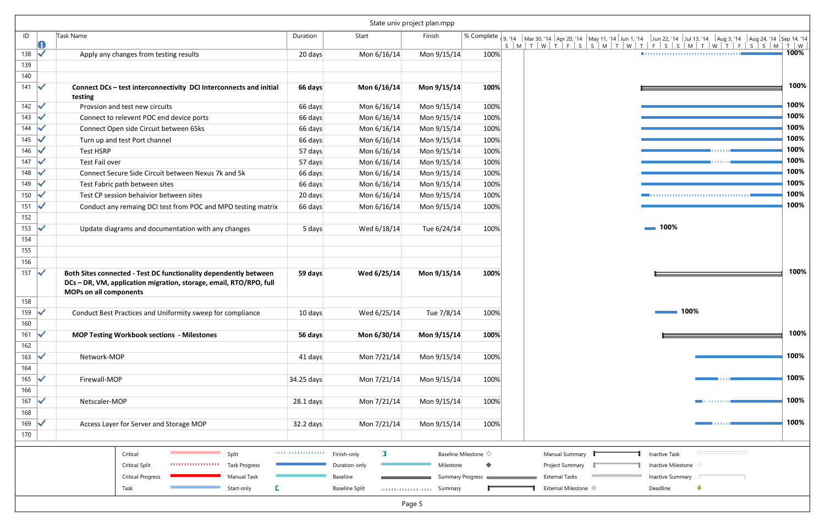|            |   |                                                                                                                                                                         |             |                            | State univ project plan.mpp |                                   |                                   |
|------------|---|-------------------------------------------------------------------------------------------------------------------------------------------------------------------------|-------------|----------------------------|-----------------------------|-----------------------------------|-----------------------------------|
| ID         | 0 | <b>Task Name</b>                                                                                                                                                        | Duration    | Start                      | Finish                      | % Complete                        |                                   |
| 138        | ✓ | Apply any changes from testing results                                                                                                                                  | 20 days     | Mon 6/16/14                | Mon 9/15/14                 | 100%                              |                                   |
| 139        |   |                                                                                                                                                                         |             |                            |                             |                                   |                                   |
| 140        |   |                                                                                                                                                                         |             |                            |                             |                                   |                                   |
| 141        | ✓ | Connect DCs - test interconnectivity DCI Interconnects and initial<br>testing                                                                                           | 66 days     | Mon 6/16/14                | Mon 9/15/14                 | 100%                              |                                   |
| 142        | ✓ | Provsion and test new circuits                                                                                                                                          | 66 days     | Mon 6/16/14                | Mon 9/15/14                 | 100%                              |                                   |
| 143        |   | Connect to relevent POC end device ports                                                                                                                                | 66 days     | Mon 6/16/14                | Mon 9/15/14                 | 100%                              |                                   |
| 144        |   | Connect Open side Circuit between 65ks                                                                                                                                  | 66 days     | Mon 6/16/14                | Mon 9/15/14                 | 100%                              |                                   |
| 145        |   | Turn up and test Port channel                                                                                                                                           | 66 days     | Mon 6/16/14                | Mon 9/15/14                 | 100%                              |                                   |
| 146        |   | <b>Test HSRP</b>                                                                                                                                                        | 57 days     | Mon 6/16/14                | Mon 9/15/14                 | 100%                              |                                   |
| 147        |   | Test Fail over                                                                                                                                                          | 57 days     | Mon 6/16/14                | Mon 9/15/14                 | 100%                              |                                   |
| 148        |   | Connect Secure Side Circuit between Nexus 7k and 5k                                                                                                                     | 66 days     | Mon 6/16/14                | Mon 9/15/14                 | 100%                              |                                   |
| 149        |   | Test Fabric path between sites                                                                                                                                          | 66 days     | Mon 6/16/14                | Mon 9/15/14                 | 100%                              |                                   |
| 150        |   | Test CP session behaivior between sites                                                                                                                                 | 20 days     | Mon 6/16/14                | Mon 9/15/14                 | 100%                              |                                   |
| 151        | ✓ | Conduct any remaing DCI test from POC and MPO testing matrix                                                                                                            | 66 days     | Mon 6/16/14                | Mon 9/15/14                 | 100%                              |                                   |
| 152        |   |                                                                                                                                                                         |             |                            |                             |                                   |                                   |
| 153        | ✓ | Update diagrams and documentation with any changes                                                                                                                      | 5 days      | Wed 6/18/14                | Tue 6/24/14                 | 100%                              |                                   |
| 154        |   |                                                                                                                                                                         |             |                            |                             |                                   |                                   |
| 155        |   |                                                                                                                                                                         |             |                            |                             |                                   |                                   |
| 156        |   |                                                                                                                                                                         |             |                            |                             |                                   |                                   |
| 157        | ✓ | Both Sites connected - Test DC functionality dependently between<br>DCs - DR, VM, application migration, storage, email, RTO/RPO, full<br><b>MOPs on all components</b> | 59 days     | Wed 6/25/14                | Mon 9/15/14<br>100%         |                                   |                                   |
| 158        |   |                                                                                                                                                                         |             |                            |                             |                                   |                                   |
| 159        | ✓ | Conduct Best Practices and Uniformity sweep for compliance                                                                                                              | 10 days     | Wed 6/25/14                | Tue 7/8/14                  | 100%                              |                                   |
| 160        |   |                                                                                                                                                                         |             |                            |                             |                                   |                                   |
| 161<br>162 | ✓ | <b>MOP Testing Workbook sections - Milestones</b>                                                                                                                       | 56 days     | Mon 6/30/14                | Mon 9/15/14                 | 100%                              |                                   |
| 163        | ✔ | Network-MOP                                                                                                                                                             | 41 days     | Mon 7/21/14                | Mon 9/15/14                 | 100%                              |                                   |
| 164        |   |                                                                                                                                                                         |             |                            |                             |                                   |                                   |
| 165        | ✓ | Firewall-MOP                                                                                                                                                            | 34.25 days  | Mon 7/21/14                | Mon 9/15/14                 | 100%                              |                                   |
| 166        |   |                                                                                                                                                                         |             |                            |                             |                                   |                                   |
| 167        | ✓ | Netscaler-MOP                                                                                                                                                           | $28.1$ days | Mon 7/21/14                | Mon 9/15/14                 | 100%                              |                                   |
| 168        |   |                                                                                                                                                                         |             |                            |                             |                                   |                                   |
| 169        | ✓ | Access Layer for Server and Storage MOP                                                                                                                                 |             | Mon 7/21/14                | Mon 9/15/14                 | 100%                              |                                   |
| 170        |   |                                                                                                                                                                         | 32.2 days   |                            |                             |                                   |                                   |
|            |   | Critical<br>Split                                                                                                                                                       | .           | П<br>Finish-only           |                             | Baseline Milestone $\diamondsuit$ | Manual Summary                    |
|            |   | ,,,,,,,,,,,,,,,,,,<br><b>Critical Split</b><br><b>Task Progress</b>                                                                                                     |             | Duration-only              | Milestone                   | ♦                                 | Project Summary                   |
|            |   | <b>Critical Progress</b><br>Manual Task                                                                                                                                 |             | Baseline                   |                             | Summary Progress                  | <b>External Tasks</b>             |
|            |   |                                                                                                                                                                         |             |                            |                             |                                   |                                   |
|            |   | Start-only<br>Task                                                                                                                                                      | D           | <b>Baseline Split</b><br>. | Summary                     |                                   | External Milestone $\diamondsuit$ |